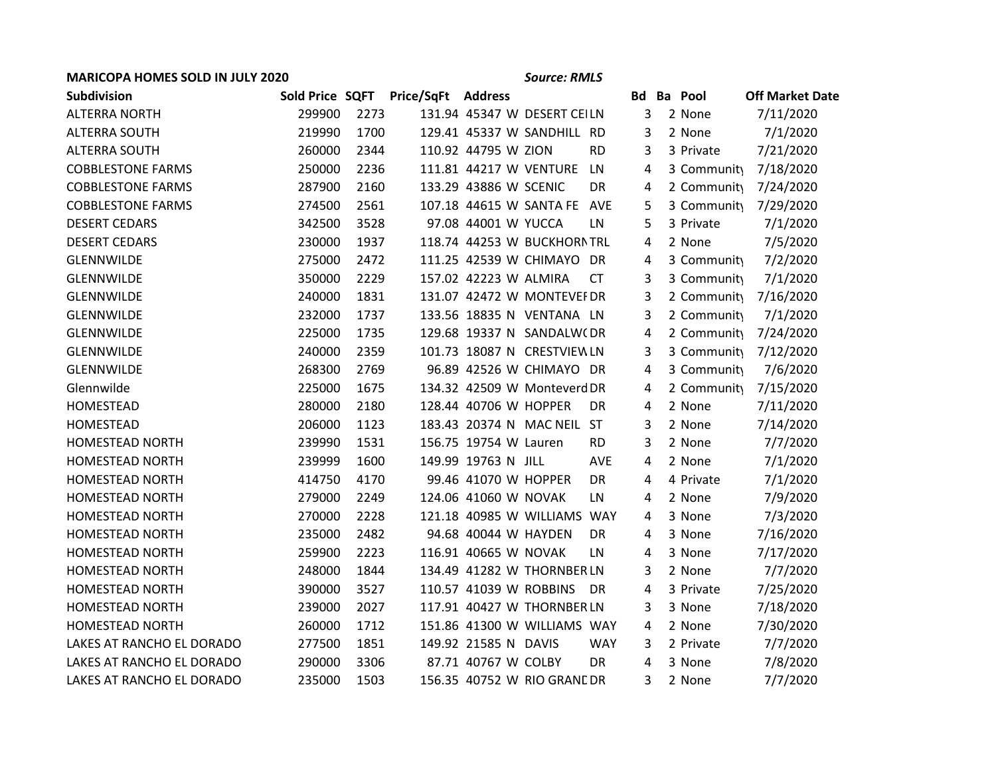## **MARICOPA HOMES SOLD IN JULY 2020** *Source: RMLS*

| Subdivision               | Sold Price SQFT |      | Price/SqFt | <b>Address</b>                      | <b>Bd</b> | <b>Ba</b> Pool | <b>Off Market Date</b> |
|---------------------------|-----------------|------|------------|-------------------------------------|-----------|----------------|------------------------|
| <b>ALTERRA NORTH</b>      | 299900          | 2273 |            | 131.94 45347 W DESERT CEILN         | 3         | 2 None         | 7/11/2020              |
| <b>ALTERRA SOUTH</b>      | 219990          | 1700 |            | 129.41 45337 W SANDHILL RD          | 3         | 2 None         | 7/1/2020               |
| <b>ALTERRA SOUTH</b>      | 260000          | 2344 |            | 110.92 44795 W ZION<br><b>RD</b>    | 3         | 3 Private      | 7/21/2020              |
| <b>COBBLESTONE FARMS</b>  | 250000          | 2236 |            | 111.81 44217 W VENTURE<br><b>LN</b> | 4         | 3 Community    | 7/18/2020              |
| <b>COBBLESTONE FARMS</b>  | 287900          | 2160 |            | 133.29 43886 W SCENIC<br>DR         | 4         | 2 Community    | 7/24/2020              |
| <b>COBBLESTONE FARMS</b>  | 274500          | 2561 |            | 107.18 44615 W SANTA FE AVE         | 5         | 3 Community    | 7/29/2020              |
| <b>DESERT CEDARS</b>      | 342500          | 3528 |            | 97.08 44001 W YUCCA<br>LN           | 5         | 3 Private      | 7/1/2020               |
| <b>DESERT CEDARS</b>      | 230000          | 1937 |            | 118.74 44253 W BUCKHORN TRL         | 4         | 2 None         | 7/5/2020               |
| GLENNWILDE                | 275000          | 2472 |            | 111.25 42539 W CHIMAYO DR           | 4         | 3 Community    | 7/2/2020               |
| GLENNWILDE                | 350000          | 2229 |            | 157.02 42223 W ALMIRA<br><b>CT</b>  | 3         | 3 Community    | 7/1/2020               |
| <b>GLENNWILDE</b>         | 240000          | 1831 |            | 131.07 42472 W MONTEVEI DR          | 3         | 2 Community    | 7/16/2020              |
| <b>GLENNWILDE</b>         | 232000          | 1737 |            | 133.56 18835 N VENTANA LN           | 3         | 2 Community    | 7/1/2020               |
| GLENNWILDE                | 225000          | 1735 |            | 129.68 19337 N SANDALW(DR           | 4         | 2 Community    | 7/24/2020              |
| <b>GLENNWILDE</b>         | 240000          | 2359 |            | 101.73 18087 N CRESTVIEW LN         | 3         | 3 Community    | 7/12/2020              |
| <b>GLENNWILDE</b>         | 268300          | 2769 |            | 96.89 42526 W CHIMAYO DR            | 4         | 3 Community    | 7/6/2020               |
| Glennwilde                | 225000          | 1675 |            | 134.32 42509 W Monteverd DR         | 4         | 2 Community    | 7/15/2020              |
| HOMESTEAD                 | 280000          | 2180 |            | 128.44 40706 W HOPPER<br><b>DR</b>  | 4         | 2 None         | 7/11/2020              |
| HOMESTEAD                 | 206000          | 1123 |            | 183.43 20374 N MAC NEIL ST          | 3         | 2 None         | 7/14/2020              |
| <b>HOMESTEAD NORTH</b>    | 239990          | 1531 |            | 156.75 19754 W Lauren<br><b>RD</b>  | 3         | 2 None         | 7/7/2020               |
| <b>HOMESTEAD NORTH</b>    | 239999          | 1600 |            | 149.99 19763 N JILL<br><b>AVE</b>   | 4         | 2 None         | 7/1/2020               |
| <b>HOMESTEAD NORTH</b>    | 414750          | 4170 |            | 99.46 41070 W HOPPER<br>DR          | 4         | 4 Private      | 7/1/2020               |
| HOMESTEAD NORTH           | 279000          | 2249 |            | 124.06 41060 W NOVAK<br>LN          | 4         | 2 None         | 7/9/2020               |
| <b>HOMESTEAD NORTH</b>    | 270000          | 2228 |            | 121.18 40985 W WILLIAMS WAY         | 4         | 3 None         | 7/3/2020               |
| HOMESTEAD NORTH           | 235000          | 2482 |            | 94.68 40044 W HAYDEN<br>DR          | 4         | 3 None         | 7/16/2020              |
| HOMESTEAD NORTH           | 259900          | 2223 |            | 116.91 40665 W NOVAK<br>LN          | 4         | 3 None         | 7/17/2020              |
| <b>HOMESTEAD NORTH</b>    | 248000          | 1844 |            | 134.49 41282 W THORNBER LN          | 3         | 2 None         | 7/7/2020               |
| <b>HOMESTEAD NORTH</b>    | 390000          | 3527 |            | 110.57 41039 W ROBBINS<br>DR        | 4         | 3 Private      | 7/25/2020              |
| HOMESTEAD NORTH           | 239000          | 2027 |            | 117.91 40427 W THORNBER LN          | 3         | 3 None         | 7/18/2020              |
| <b>HOMESTEAD NORTH</b>    | 260000          | 1712 |            | 151.86 41300 W WILLIAMS WAY         | 4         | 2 None         | 7/30/2020              |
| LAKES AT RANCHO EL DORADO | 277500          | 1851 |            | 149.92 21585 N DAVIS<br><b>WAY</b>  | 3         | 2 Private      | 7/7/2020               |
| LAKES AT RANCHO EL DORADO | 290000          | 3306 |            | 87.71 40767 W COLBY<br>DR           | 4         | 3 None         | 7/8/2020               |
| LAKES AT RANCHO EL DORADO | 235000          | 1503 |            | 156.35 40752 W RIO GRANE DR         | 3         | 2 None         | 7/7/2020               |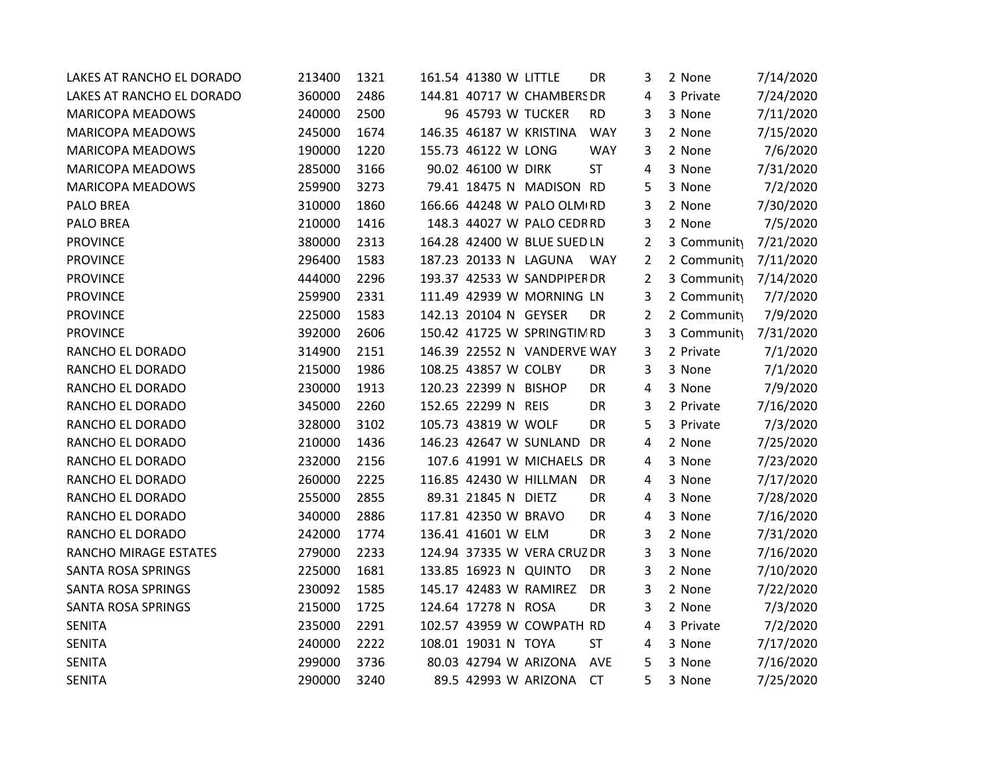| LAKES AT RANCHO EL DORADO | 213400 | 1321 | 161.54 41380 W LITTLE |                             | DR         | 3 | 2 None      | 7/14/2020 |
|---------------------------|--------|------|-----------------------|-----------------------------|------------|---|-------------|-----------|
| LAKES AT RANCHO EL DORADO | 360000 | 2486 |                       | 144.81 40717 W CHAMBERS DR  |            | 4 | 3 Private   | 7/24/2020 |
| <b>MARICOPA MEADOWS</b>   | 240000 | 2500 | 96 45793 W TUCKER     |                             | <b>RD</b>  | 3 | 3 None      | 7/11/2020 |
| <b>MARICOPA MEADOWS</b>   | 245000 | 1674 |                       | 146.35 46187 W KRISTINA     | <b>WAY</b> | 3 | 2 None      | 7/15/2020 |
| <b>MARICOPA MEADOWS</b>   | 190000 | 1220 | 155.73 46122 W LONG   |                             | <b>WAY</b> | 3 | 2 None      | 7/6/2020  |
| MARICOPA MEADOWS          | 285000 | 3166 | 90.02 46100 W DIRK    |                             | <b>ST</b>  | 4 | 3 None      | 7/31/2020 |
| <b>MARICOPA MEADOWS</b>   | 259900 | 3273 |                       | 79.41 18475 N MADISON RD    |            | 5 | 3 None      | 7/2/2020  |
| PALO BREA                 | 310000 | 1860 |                       | 166.66 44248 W PALO OLM RD  |            | 3 | 2 None      | 7/30/2020 |
| PALO BREA                 | 210000 | 1416 |                       | 148.3 44027 W PALO CEDRRD   |            | 3 | 2 None      | 7/5/2020  |
| <b>PROVINCE</b>           | 380000 | 2313 |                       | 164.28 42400 W BLUE SUED LN |            | 2 | 3 Community | 7/21/2020 |
| <b>PROVINCE</b>           | 296400 | 1583 | 187.23 20133 N LAGUNA |                             | WAY        | 2 | 2 Community | 7/11/2020 |
| <b>PROVINCE</b>           | 444000 | 2296 |                       | 193.37 42533 W SANDPIPER DR |            | 2 | 3 Community | 7/14/2020 |
| <b>PROVINCE</b>           | 259900 | 2331 |                       | 111.49 42939 W MORNING LN   |            | 3 | 2 Community | 7/7/2020  |
| <b>PROVINCE</b>           | 225000 | 1583 | 142.13 20104 N GEYSER |                             | DR         | 2 | 2 Community | 7/9/2020  |
| <b>PROVINCE</b>           | 392000 | 2606 |                       | 150.42 41725 W SPRINGTIM RD |            | 3 | 3 Community | 7/31/2020 |
| RANCHO EL DORADO          | 314900 | 2151 |                       | 146.39 22552 N VANDERVE WAY |            | 3 | 2 Private   | 7/1/2020  |
| RANCHO EL DORADO          | 215000 | 1986 | 108.25 43857 W COLBY  |                             | <b>DR</b>  | 3 | 3 None      | 7/1/2020  |
| RANCHO EL DORADO          | 230000 | 1913 | 120.23 22399 N BISHOP |                             | DR         | 4 | 3 None      | 7/9/2020  |
| RANCHO EL DORADO          | 345000 | 2260 | 152.65 22299 N REIS   |                             | <b>DR</b>  | 3 | 2 Private   | 7/16/2020 |
| RANCHO EL DORADO          | 328000 | 3102 | 105.73 43819 W WOLF   |                             | DR         | 5 | 3 Private   | 7/3/2020  |
| RANCHO EL DORADO          | 210000 | 1436 |                       | 146.23 42647 W SUNLAND      | <b>DR</b>  | 4 | 2 None      | 7/25/2020 |
| RANCHO EL DORADO          | 232000 | 2156 |                       | 107.6 41991 W MICHAELS DR   |            | 4 | 3 None      | 7/23/2020 |
| RANCHO EL DORADO          | 260000 | 2225 |                       | 116.85 42430 W HILLMAN      | DR         | 4 | 3 None      | 7/17/2020 |
| RANCHO EL DORADO          | 255000 | 2855 | 89.31 21845 N DIETZ   |                             | DR         | 4 | 3 None      | 7/28/2020 |
| RANCHO EL DORADO          | 340000 | 2886 | 117.81 42350 W BRAVO  |                             | DR         | 4 | 3 None      | 7/16/2020 |
| RANCHO EL DORADO          | 242000 | 1774 | 136.41 41601 W ELM    |                             | DR         | 3 | 2 None      | 7/31/2020 |
| RANCHO MIRAGE ESTATES     | 279000 | 2233 |                       | 124.94 37335 W VERA CRUZ DR |            | 3 | 3 None      | 7/16/2020 |
| SANTA ROSA SPRINGS        | 225000 | 1681 | 133.85 16923 N QUINTO |                             | DR         | 3 | 2 None      | 7/10/2020 |
| <b>SANTA ROSA SPRINGS</b> | 230092 | 1585 |                       | 145.17 42483 W RAMIREZ      | <b>DR</b>  | 3 | 2 None      | 7/22/2020 |
| SANTA ROSA SPRINGS        | 215000 | 1725 | 124.64 17278 N ROSA   |                             | DR         | 3 | 2 None      | 7/3/2020  |
| <b>SENITA</b>             | 235000 | 2291 |                       | 102.57 43959 W COWPATH RD   |            | 4 | 3 Private   | 7/2/2020  |
| <b>SENITA</b>             | 240000 | 2222 | 108.01 19031 N TOYA   |                             | <b>ST</b>  | 4 | 3 None      | 7/17/2020 |
| <b>SENITA</b>             | 299000 | 3736 |                       | 80.03 42794 W ARIZONA       | <b>AVE</b> | 5 | 3 None      | 7/16/2020 |
| <b>SENITA</b>             | 290000 | 3240 |                       | 89.5 42993 W ARIZONA        | <b>CT</b>  | 5 | 3 None      | 7/25/2020 |